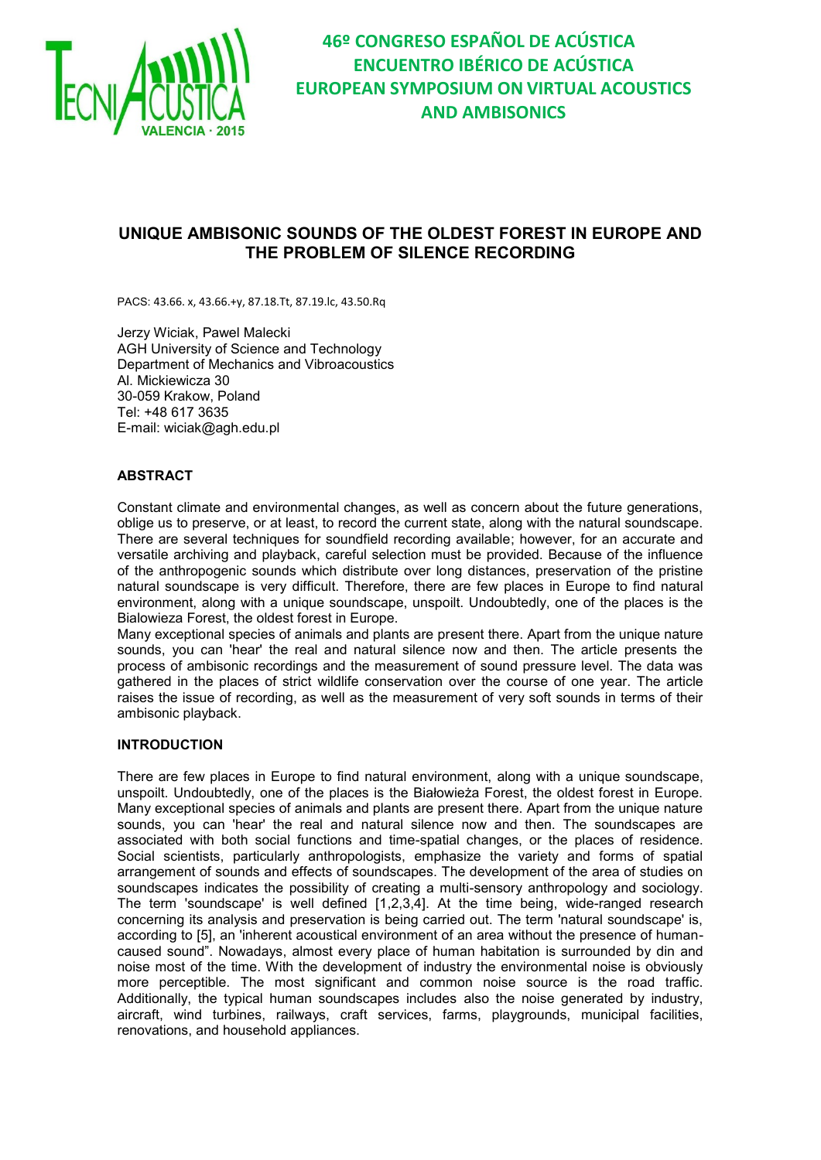

### **UNIQUE AMBISONIC SOUNDS OF THE OLDEST FOREST IN EUROPE AND THE PROBLEM OF SILENCE RECORDING**

PACS: 43.66. x, 43.66.+y, 87.18.Tt, 87.19.lc, 43.50.Rq

Jerzy Wiciak, Pawel Malecki AGH University of Science and Technology Department of Mechanics and Vibroacoustics Al. Mickiewicza 30 30-059 Krakow, Poland Tel: +48 617 3635 E-mail: wiciak@agh.edu.pl

#### **ABSTRACT**

Constant climate and environmental changes, as well as concern about the future generations, oblige us to preserve, or at least, to record the current state, along with the natural soundscape. There are several techniques for soundfield recording available; however, for an accurate and versatile archiving and playback, careful selection must be provided. Because of the influence of the anthropogenic sounds which distribute over long distances, preservation of the pristine natural soundscape is very difficult. Therefore, there are few places in Europe to find natural environment, along with a unique soundscape, unspoilt. Undoubtedly, one of the places is the Bialowieza Forest, the oldest forest in Europe.

Many exceptional species of animals and plants are present there. Apart from the unique nature sounds, you can 'hear' the real and natural silence now and then. The article presents the process of ambisonic recordings and the measurement of sound pressure level. The data was gathered in the places of strict wildlife conservation over the course of one year. The article raises the issue of recording, as well as the measurement of very soft sounds in terms of their ambisonic playback.

#### **INTRODUCTION**

There are few places in Europe to find natural environment, along with a unique soundscape, unspoilt. Undoubtedly, one of the places is the Białowieża Forest, the oldest forest in Europe. Many exceptional species of animals and plants are present there. Apart from the unique nature sounds, you can 'hear' the real and natural silence now and then. The soundscapes are associated with both social functions and time-spatial changes, or the places of residence. Social scientists, particularly anthropologists, emphasize the variety and forms of spatial arrangement of sounds and effects of soundscapes. The development of the area of studies on soundscapes indicates the possibility of creating a multi-sensory anthropology and sociology. The term 'soundscape' is well defined [1,2,3,4]. At the time being, wide-ranged research concerning its analysis and preservation is being carried out. The term 'natural soundscape' is, according to [5], an 'inherent acoustical environment of an area without the presence of humancaused sound". Nowadays, almost every place of human habitation is surrounded by din and noise most of the time. With the development of industry the environmental noise is obviously more perceptible. The most significant and common noise source is the road traffic. Additionally, the typical human soundscapes includes also the noise generated by industry, aircraft, wind turbines, railways, craft services, farms, playgrounds, municipal facilities. renovations, and household appliances.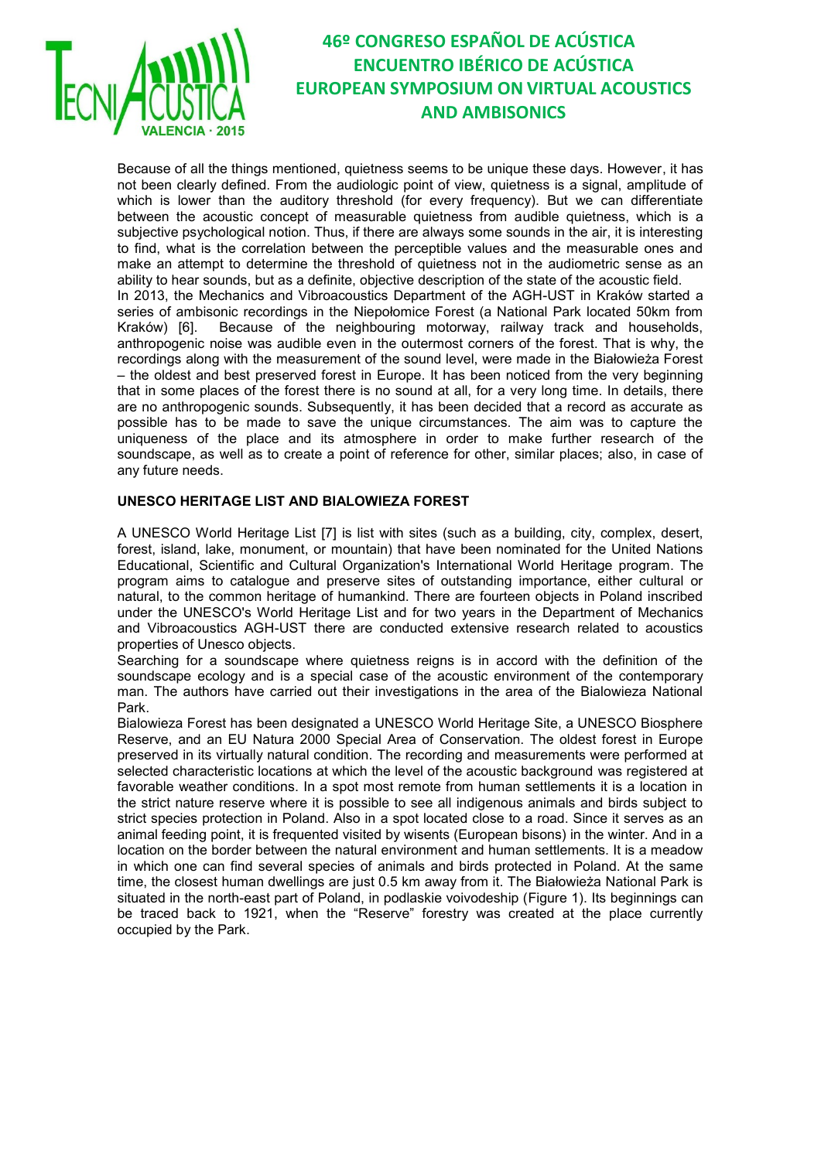

Because of all the things mentioned, quietness seems to be unique these days. However, it has not been clearly defined. From the audiologic point of view, quietness is a signal, amplitude of which is lower than the auditory threshold (for every frequency). But we can differentiate between the acoustic concept of measurable quietness from audible quietness, which is a subjective psychological notion. Thus, if there are always some sounds in the air, it is interesting to find, what is the correlation between the perceptible values and the measurable ones and make an attempt to determine the threshold of quietness not in the audiometric sense as an ability to hear sounds, but as a definite, objective description of the state of the acoustic field. In 2013, the Mechanics and Vibroacoustics Department of the AGH-UST in Kraków started a series of ambisonic recordings in the Niepołomice Forest (a National Park located 50km from Kraków) [6]. Because of the neighbouring motorway, railway track and households, anthropogenic noise was audible even in the outermost corners of the forest. That is why, the recordings along with the measurement of the sound level, were made in the Białowieża Forest – the oldest and best preserved forest in Europe. It has been noticed from the very beginning that in some places of the forest there is no sound at all, for a very long time. In details, there are no anthropogenic sounds. Subsequently, it has been decided that a record as accurate as possible has to be made to save the unique circumstances. The aim was to capture the uniqueness of the place and its atmosphere in order to make further research of the soundscape, as well as to create a point of reference for other, similar places; also, in case of any future needs.

#### **UNESCO HERITAGE LIST AND BIALOWIEZA FOREST**

A UNESCO World Heritage List [7] is list with sites (such as a building, city, complex, desert, forest, island, lake, monument, or mountain) that have been nominated for the United Nations Educational, Scientific and Cultural Organization's International World Heritage program. The program aims to catalogue and preserve sites of outstanding importance, either cultural or natural, to the common heritage of humankind. There are fourteen objects in Poland inscribed under the UNESCO's World Heritage List and for two years in the Department of Mechanics and Vibroacoustics AGH-UST there are conducted extensive research related to acoustics properties of Unesco objects.

Searching for a soundscape where quietness reigns is in accord with the definition of the soundscape ecology and is a special case of the acoustic environment of the contemporary man. The authors have carried out their investigations in the area of the Bialowieza National Park.

Bialowieza Forest has been designated a UNESCO World Heritage Site, a UNESCO Biosphere Reserve, and an EU Natura 2000 Special Area of Conservation. The oldest forest in Europe preserved in its virtually natural condition. The recording and measurements were performed at selected characteristic locations at which the level of the acoustic background was registered at favorable weather conditions. In a spot most remote from human settlements it is a location in the strict nature reserve where it is possible to see all indigenous animals and birds subject to strict species protection in Poland. Also in a spot located close to a road. Since it serves as an animal feeding point, it is frequented visited by wisents (European bisons) in the winter. And in a location on the border between the natural environment and human settlements. It is a meadow in which one can find several species of animals and birds protected in Poland. At the same time, the closest human dwellings are just 0.5 km away from it. The Białowieża National Park is situated in the north-east part of Poland, in podlaskie voivodeship [\(Figure 1\)](#page-2-0). Its beginnings can be traced back to 1921, when the "Reserve" forestry was created at the place currently occupied by the Park.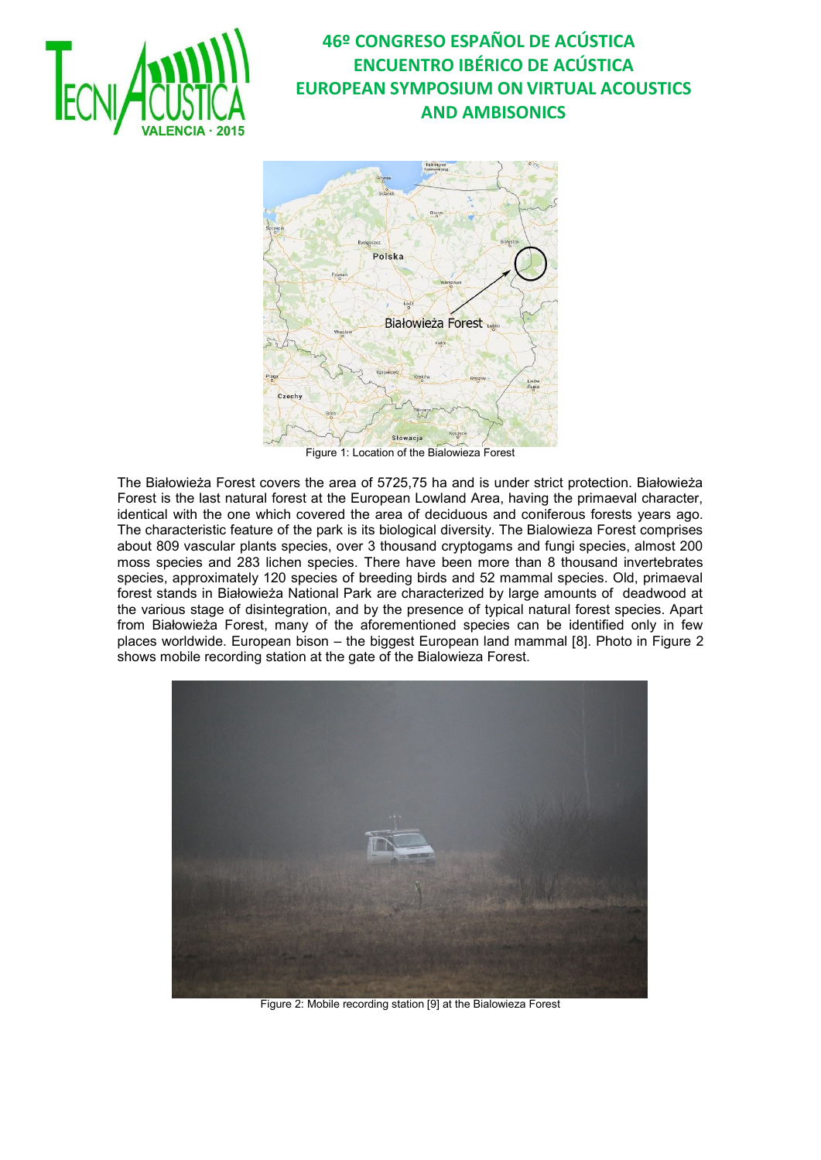



<span id="page-2-0"></span>The Białowieża Forest covers the area of 5725,75 ha and is under strict protection. Białowieża Forest is the last natural forest at the European Lowland Area, having the primaeval character, identical with the one which covered the area of deciduous and coniferous forests years ago. The characteristic feature of the park is its biological diversity. The Bialowieza Forest comprises about 809 vascular plants species, over 3 thousand cryptogams and fungi species, almost 200 moss species and 283 lichen species. There have been more than 8 thousand invertebrates species, approximately 120 species of breeding birds and 52 mammal species. Old, primaeval forest stands in Białowieża National Park are characterized by large amounts of deadwood at the various stage of disintegration, and by the presence of typical natural forest species. Apart from Białowieża Forest, many of the aforementioned species can be identified only in few places worldwide. European bison – the biggest European land mammal [8]. Photo in [Figure 2](#page-2-1)  shows mobile recording station at the gate of the Bialowieza Forest.



<span id="page-2-1"></span>Figure 2: Mobile recording station [9] at the Bialowieza Forest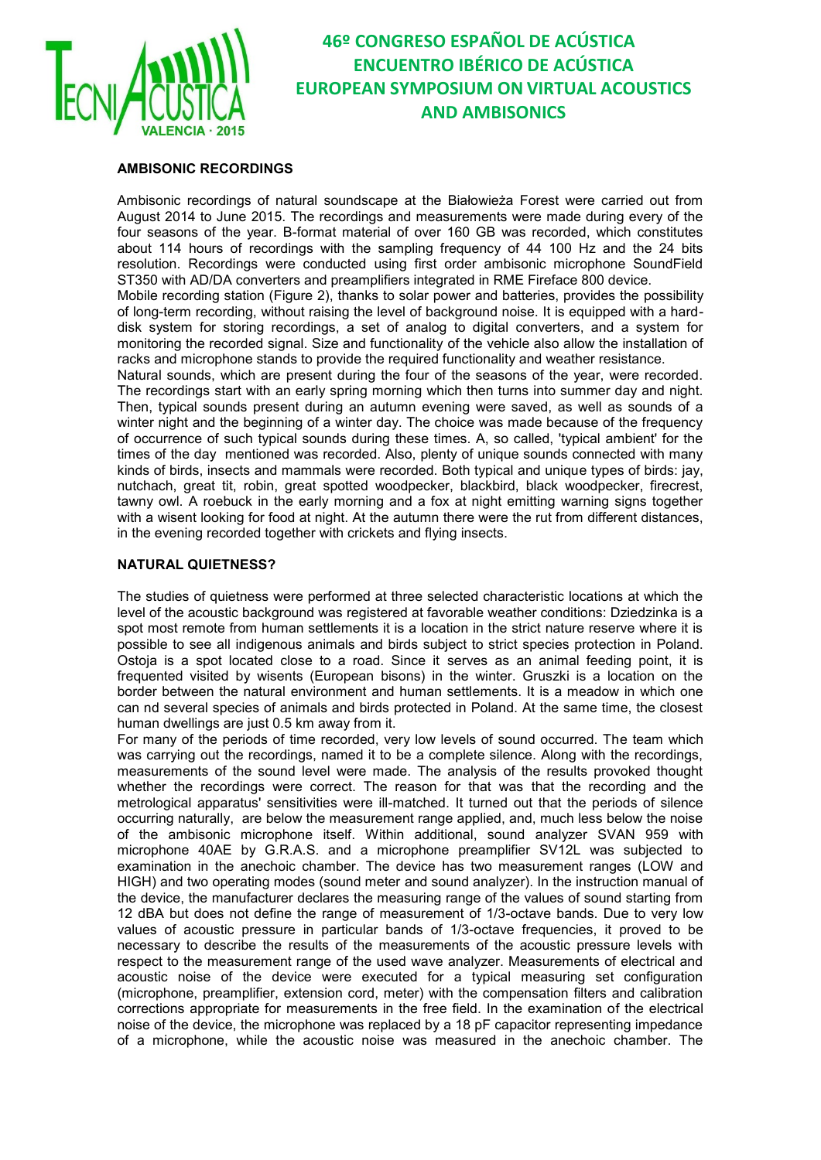

#### **AMBISONIC RECORDINGS**

Ambisonic recordings of natural soundscape at the Białowieża Forest were carried out from August 2014 to June 2015. The recordings and measurements were made during every of the four seasons of the year. B-format material of over 160 GB was recorded, which constitutes about 114 hours of recordings with the sampling frequency of 44 100 Hz and the 24 bits resolution. Recordings were conducted using first order ambisonic microphone SoundField ST350 with AD/DA converters and preamplifiers integrated in RME Fireface 800 device.

Mobile recording station [\(Figure 2\)](#page-2-1), thanks to solar power and batteries, provides the possibility of long-term recording, without raising the level of background noise. It is equipped with a harddisk system for storing recordings, a set of analog to digital converters, and a system for monitoring the recorded signal. Size and functionality of the vehicle also allow the installation of racks and microphone stands to provide the required functionality and weather resistance.

Natural sounds, which are present during the four of the seasons of the year, were recorded. The recordings start with an early spring morning which then turns into summer day and night. Then, typical sounds present during an autumn evening were saved, as well as sounds of a winter night and the beginning of a winter day. The choice was made because of the frequency of occurrence of such typical sounds during these times. A, so called, 'typical ambient' for the times of the day mentioned was recorded. Also, plenty of unique sounds connected with many kinds of birds, insects and mammals were recorded. Both typical and unique types of birds: jay, nutchach, great tit, robin, great spotted woodpecker, blackbird, black woodpecker, firecrest, tawny owl. A roebuck in the early morning and a fox at night emitting warning signs together with a wisent looking for food at night. At the autumn there were the rut from different distances, in the evening recorded together with crickets and flying insects.

#### **NATURAL QUIETNESS?**

The studies of quietness were performed at three selected characteristic locations at which the level of the acoustic background was registered at favorable weather conditions: Dziedzinka is a spot most remote from human settlements it is a location in the strict nature reserve where it is possible to see all indigenous animals and birds subject to strict species protection in Poland. Ostoja is a spot located close to a road. Since it serves as an animal feeding point, it is frequented visited by wisents (European bisons) in the winter. Gruszki is a location on the border between the natural environment and human settlements. It is a meadow in which one can nd several species of animals and birds protected in Poland. At the same time, the closest human dwellings are just 0.5 km away from it.

For many of the periods of time recorded, very low levels of sound occurred. The team which was carrying out the recordings, named it to be a complete silence. Along with the recordings, measurements of the sound level were made. The analysis of the results provoked thought whether the recordings were correct. The reason for that was that the recording and the metrological apparatus' sensitivities were ill-matched. It turned out that the periods of silence occurring naturally, are below the measurement range applied, and, much less below the noise of the ambisonic microphone itself. Within additional, sound analyzer SVAN 959 with microphone 40AE by G.R.A.S. and a microphone preamplifier SV12L was subjected to examination in the anechoic chamber. The device has two measurement ranges (LOW and HIGH) and two operating modes (sound meter and sound analyzer). In the instruction manual of the device, the manufacturer declares the measuring range of the values of sound starting from 12 dBA but does not define the range of measurement of 1/3-octave bands. Due to very low values of acoustic pressure in particular bands of 1/3-octave frequencies, it proved to be necessary to describe the results of the measurements of the acoustic pressure levels with respect to the measurement range of the used wave analyzer. Measurements of electrical and acoustic noise of the device were executed for a typical measuring set configuration (microphone, preamplifier, extension cord, meter) with the compensation filters and calibration corrections appropriate for measurements in the free field. In the examination of the electrical noise of the device, the microphone was replaced by a 18 pF capacitor representing impedance of a microphone, while the acoustic noise was measured in the anechoic chamber. The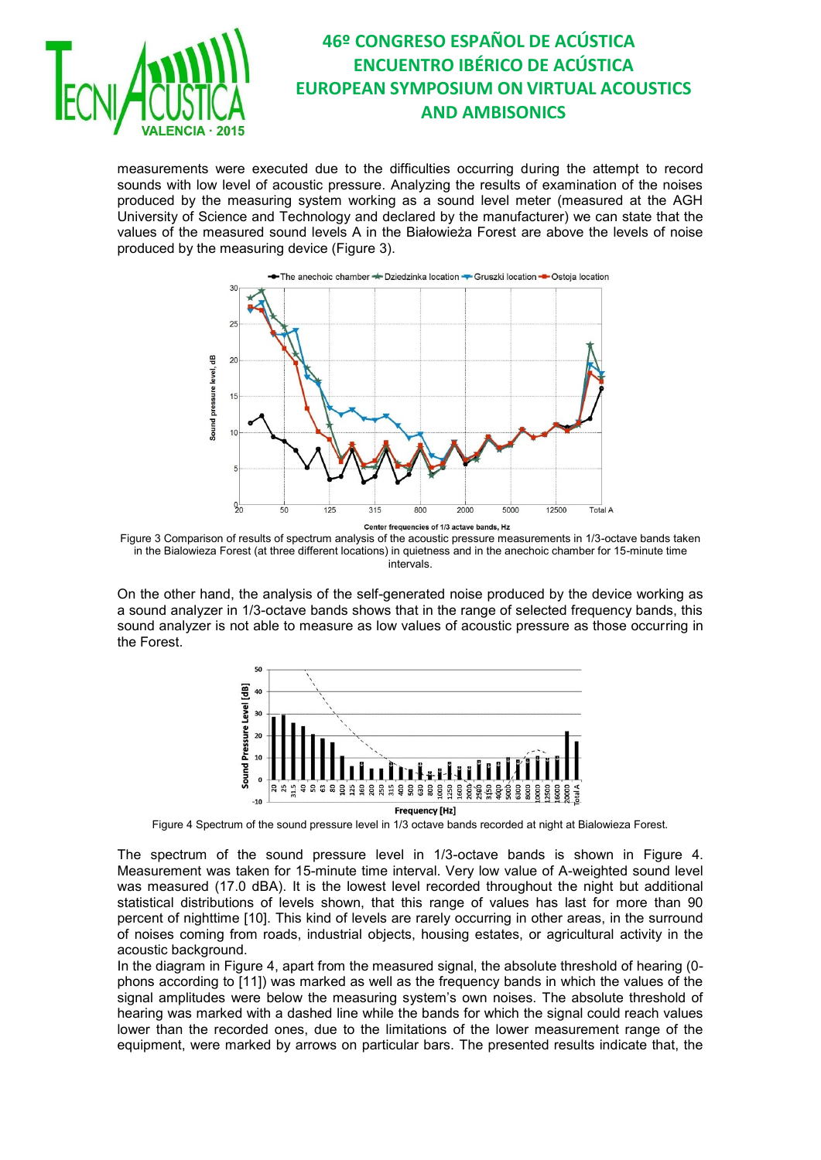![](_page_4_Picture_0.jpeg)

measurements were executed due to the difficulties occurring during the attempt to record sounds with low level of acoustic pressure. Analyzing the results of examination of the noises produced by the measuring system working as a sound level meter (measured at the AGH University of Science and Technology and declared by the manufacturer) we can state that the values of the measured sound levels A in the Białowieża Forest are above the levels of noise produced by the measuring device [\(Figure 3\)](#page-4-0).

![](_page_4_Figure_3.jpeg)

<span id="page-4-0"></span>Figure 3 Comparison of results of spectrum analysis of the acoustic pressure measurements in 1/3-octave bands taken in the Bialowieza Forest (at three different locations) in quietness and in the anechoic chamber for 15-minute time intervals.

On the other hand, the analysis of the self-generated noise produced by the device working as a sound analyzer in 1/3-octave bands shows that in the range of selected frequency bands, this sound analyzer is not able to measure as low values of acoustic pressure as those occurring in the Forest.

![](_page_4_Figure_6.jpeg)

Figure 4 Spectrum of the sound pressure level in 1/3 octave bands recorded at night at Bialowieza Forest.

<span id="page-4-1"></span>The spectrum of the sound pressure level in 1/3-octave bands is shown in [Figure 4.](#page-4-1) Measurement was taken for 15-minute time interval. Very low value of A-weighted sound level was measured (17.0 dBA). It is the lowest level recorded throughout the night but additional statistical distributions of levels shown, that this range of values has last for more than 90 percent of nighttime [10]. This kind of levels are rarely occurring in other areas, in the surround of noises coming from roads, industrial objects, housing estates, or agricultural activity in the acoustic background.

In the diagram in [Figure 4,](#page-4-1) apart from the measured signal, the absolute threshold of hearing (0 phons according to [11]) was marked as well as the frequency bands in which the values of the signal amplitudes were below the measuring system's own noises. The absolute threshold of hearing was marked with a dashed line while the bands for which the signal could reach values lower than the recorded ones, due to the limitations of the lower measurement range of the equipment, were marked by arrows on particular bars. The presented results indicate that, the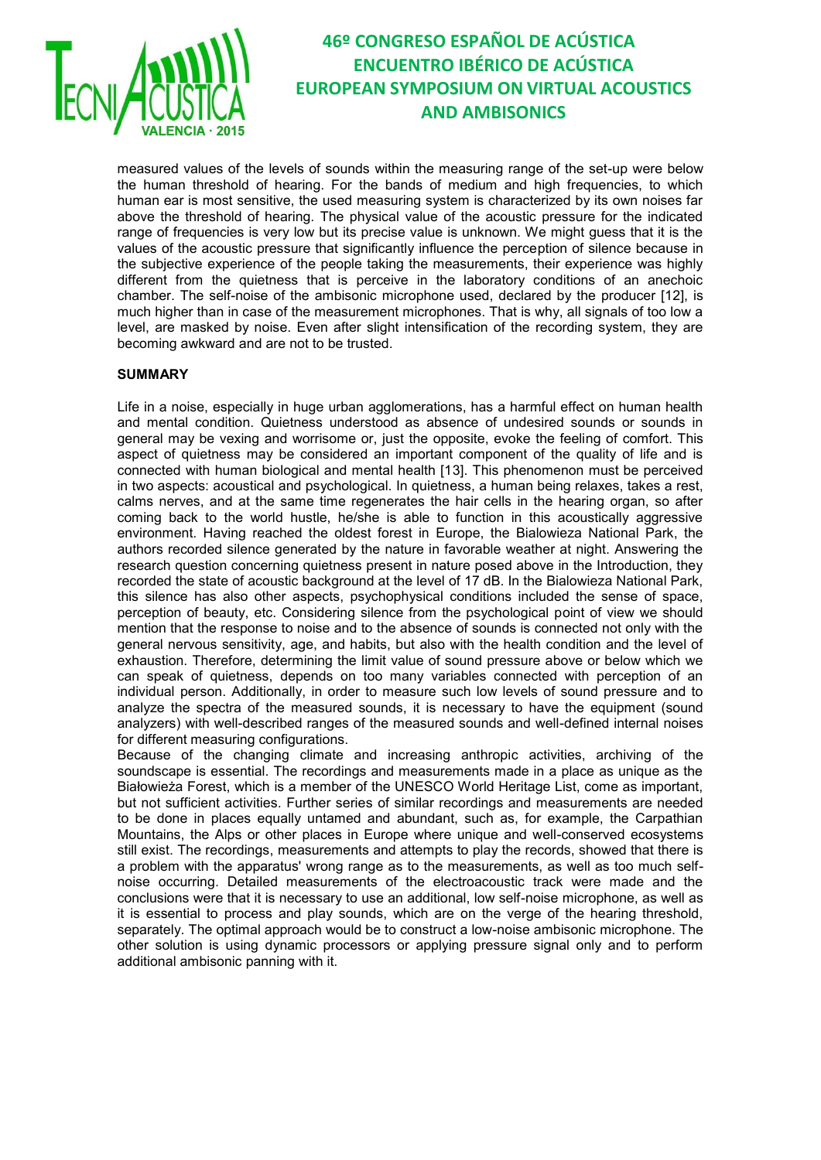![](_page_5_Picture_0.jpeg)

measured values of the levels of sounds within the measuring range of the set-up were below the human threshold of hearing. For the bands of medium and high frequencies, to which human ear is most sensitive, the used measuring system is characterized by its own noises far above the threshold of hearing. The physical value of the acoustic pressure for the indicated range of frequencies is very low but its precise value is unknown. We might guess that it is the values of the acoustic pressure that significantly influence the perception of silence because in the subjective experience of the people taking the measurements, their experience was highly different from the quietness that is perceive in the laboratory conditions of an anechoic chamber. The self-noise of the ambisonic microphone used, declared by the producer [12], is much higher than in case of the measurement microphones. That is why, all signals of too low a level, are masked by noise. Even after slight intensification of the recording system, they are becoming awkward and are not to be trusted.

#### **SUMMARY**

Life in a noise, especially in huge urban agglomerations, has a harmful effect on human health and mental condition. Quietness understood as absence of undesired sounds or sounds in general may be vexing and worrisome or, just the opposite, evoke the feeling of comfort. This aspect of quietness may be considered an important component of the quality of life and is connected with human biological and mental health [13]. This phenomenon must be perceived in two aspects: acoustical and psychological. In quietness, a human being relaxes, takes a rest, calms nerves, and at the same time regenerates the hair cells in the hearing organ, so after coming back to the world hustle, he/she is able to function in this acoustically aggressive environment. Having reached the oldest forest in Europe, the Bialowieza National Park, the authors recorded silence generated by the nature in favorable weather at night. Answering the research question concerning quietness present in nature posed above in the Introduction, they recorded the state of acoustic background at the level of 17 dB. In the Bialowieza National Park, this silence has also other aspects, psychophysical conditions included the sense of space, perception of beauty, etc. Considering silence from the psychological point of view we should mention that the response to noise and to the absence of sounds is connected not only with the general nervous sensitivity, age, and habits, but also with the health condition and the level of exhaustion. Therefore, determining the limit value of sound pressure above or below which we can speak of quietness, depends on too many variables connected with perception of an individual person. Additionally, in order to measure such low levels of sound pressure and to analyze the spectra of the measured sounds, it is necessary to have the equipment (sound analyzers) with well-described ranges of the measured sounds and well-defined internal noises for different measuring configurations.

Because of the changing climate and increasing anthropic activities, archiving of the soundscape is essential. The recordings and measurements made in a place as unique as the Białowieża Forest, which is a member of the UNESCO World Heritage List, come as important, but not sufficient activities. Further series of similar recordings and measurements are needed to be done in places equally untamed and abundant, such as, for example, the Carpathian Mountains, the Alps or other places in Europe where unique and well-conserved ecosystems still exist. The recordings, measurements and attempts to play the records, showed that there is a problem with the apparatus' wrong range as to the measurements, as well as too much selfnoise occurring. Detailed measurements of the electroacoustic track were made and the conclusions were that it is necessary to use an additional, low self-noise microphone, as well as it is essential to process and play sounds, which are on the verge of the hearing threshold, separately. The optimal approach would be to construct a low-noise ambisonic microphone. The other solution is using dynamic processors or applying pressure signal only and to perform additional ambisonic panning with it.